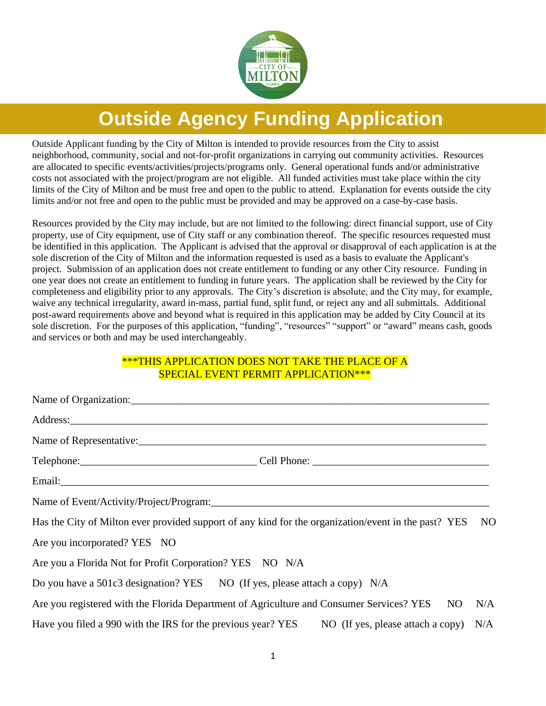

# **Outside Agency Funding Application**

Outside Applicant funding by the City of Milton is intended to provide resources from the City to assist neighborhood, community, social and not-for-profit organizations in carrying out community activities. Resources are allocated to specific events/activities/projects/programs only. General operational funds and/or administrative costs not associated with the project/program are not eligible. All funded activities must take place within the city limits of the City of Milton and be must free and open to the public to attend. Explanation for events outside the city limits and/or not free and open to the public must be provided and may be approved on a case-by-case basis.

Resources provided by the City may include, but are not limited to the following: direct financial support, use of City property, use of City equipment, use of City staff or any combination thereof. The specific resources requested must be identified in this application. The Applicant is advised that the approval or disapproval of each application is at the sole discretion of the City of Milton and the information requested is used as a basis to evaluate the Applicant's project. Submission of an application does not create entitlement to funding or any other City resource. Funding in one year does not create an entitlement to funding in future years. The application shall be reviewed by the City for completeness and eligibility prior to any approvals. The City's discretion is absolute, and the City may, for example, waive any technical irregularity, award in-mass, partial fund, split fund, or reject any and all submittals. Additional post-award requirements above and beyond what is required in this application may be added by City Council at its sole discretion. For the purposes of this application, "funding", "resources" "support" or "award" means cash, goods and services or both and may be used interchangeably.

## \*\*\*THIS APPLICATION DOES NOT TAKE THE PLACE OF A SPECIAL EVENT PERMIT APPLICATION\*\*\*

| Address: <u>and the same of the same of the same of the same of the same of the same of the same of the same of the same of the same of the same of the same of the same of the same of the same of the same of the same of the </u> |  |
|--------------------------------------------------------------------------------------------------------------------------------------------------------------------------------------------------------------------------------------|--|
| Name of Representative:                                                                                                                                                                                                              |  |
|                                                                                                                                                                                                                                      |  |
|                                                                                                                                                                                                                                      |  |
|                                                                                                                                                                                                                                      |  |
| Has the City of Milton ever provided support of any kind for the organization/event in the past? YES<br>NO <sub>1</sub>                                                                                                              |  |
| Are you incorporated? YES NO                                                                                                                                                                                                         |  |
| Are you a Florida Not for Profit Corporation? YES NO N/A                                                                                                                                                                             |  |
| Do you have a 501c3 designation? YES NO (If yes, please attach a copy) N/A                                                                                                                                                           |  |
| Are you registered with the Florida Department of Agriculture and Consumer Services? YES NO<br>N/A                                                                                                                                   |  |
| Have you filed a 990 with the IRS for the previous year? YES NO (If yes, please attach a copy) N/A                                                                                                                                   |  |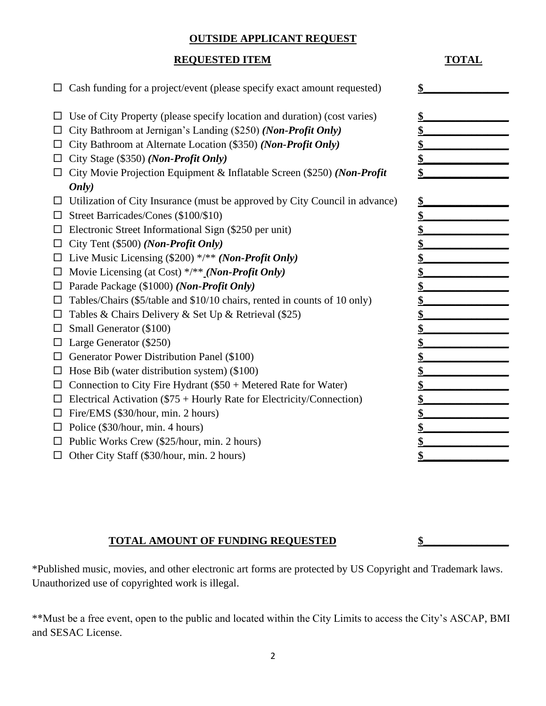### **OUTSIDE APPLICANT REQUEST**

## **REQUESTED ITEM TOTAL**

| Cash funding for a project/event (please specify exact amount requested)    |    |
|-----------------------------------------------------------------------------|----|
| Use of City Property (please specify location and duration) (cost varies)   |    |
| City Bathroom at Jernigan's Landing (\$250) (Non-Profit Only)               |    |
| City Bathroom at Alternate Location (\$350) (Non-Profit Only)<br>$\Box$     |    |
| City Stage (\$350) (Non-Profit Only)<br>□                                   |    |
| City Movie Projection Equipment & Inflatable Screen (\$250) (Non-Profit     |    |
| Only)                                                                       |    |
| Utilization of City Insurance (must be approved by City Council in advance) | \$ |
| Street Barricades/Cones (\$100/\$10)                                        |    |
| Electronic Street Informational Sign (\$250 per unit)                       |    |
| City Tent (\$500) (Non-Profit Only)                                         |    |
| Live Music Licensing $(\$200)$ */** (Non-Profit Only)                       |    |
| Movie Licensing (at Cost) $\frac{*}{*}$ (Non-Profit Only)                   |    |
| Parade Package (\$1000) (Non-Profit Only)                                   |    |
| Tables/Chairs (\$5/table and \$10/10 chairs, rented in counts of 10 only)   |    |
| Tables & Chairs Delivery & Set Up & Retrieval (\$25)                        |    |
| Small Generator (\$100)                                                     |    |
| Large Generator (\$250)                                                     |    |
| Generator Power Distribution Panel (\$100)                                  |    |
| Hose Bib (water distribution system) (\$100)                                |    |
| Connection to City Fire Hydrant (\$50 + Metered Rate for Water)             |    |
| Electrical Activation (\$75 + Hourly Rate for Electricity/Connection)       |    |
| Fire/EMS (\$30/hour, min. 2 hours)<br>$\Box$                                |    |
| Police (\$30/hour, min. 4 hours)                                            |    |
| Public Works Crew (\$25/hour, min. 2 hours)                                 |    |
| Other City Staff (\$30/hour, min. 2 hours)<br>□                             |    |

## **TOTAL AMOUNT OF FUNDING REQUESTED \$\_\_\_\_\_\_\_\_\_\_\_\_\_\_\_\_**

\*Published music, movies, and other electronic art forms are protected by US Copyright and Trademark laws. Unauthorized use of copyrighted work is illegal.

\*\*Must be a free event, open to the public and located within the City Limits to access the City's ASCAP, BMI and SESAC License.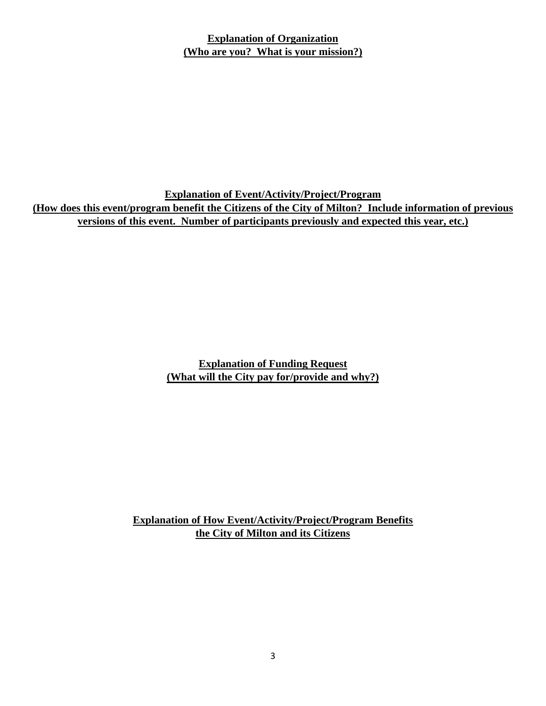## **Explanation of Organization (Who are you? What is your mission?)**

**Explanation of Event/Activity/Project/Program (How does this event/program benefit the Citizens of the City of Milton? Include information of previous versions of this event. Number of participants previously and expected this year, etc.)**

> **Explanation of Funding Request (What will the City pay for/provide and why?)**

**Explanation of How Event/Activity/Project/Program Benefits the City of Milton and its Citizens**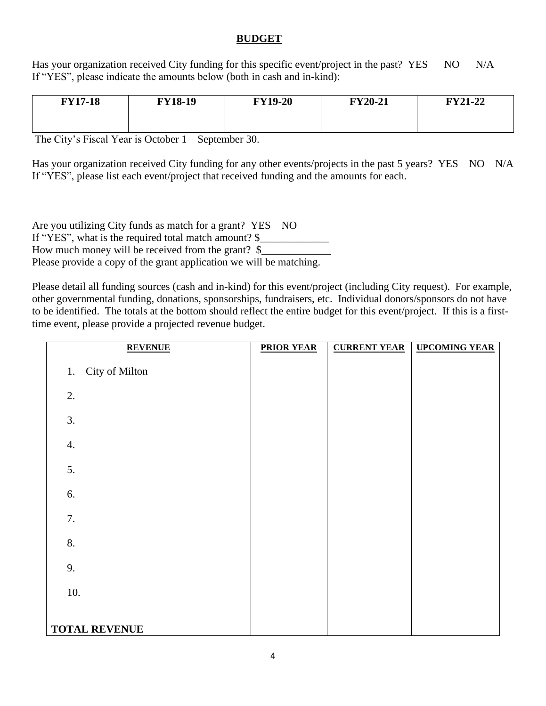## **BUDGET**

Has your organization received City funding for this specific event/project in the past? YES NO N/A If "YES", please indicate the amounts below (both in cash and in-kind):

| <b>FY17-18</b> | <b>FY18-19</b> | <b>FY19-20</b> | <b>FY20-21</b> | <b>FY21-22</b> |
|----------------|----------------|----------------|----------------|----------------|
|                |                |                |                |                |

The City's Fiscal Year is October 1 – September 30.

Has your organization received City funding for any other events/projects in the past 5 years? YES NO N/A If "YES", please list each event/project that received funding and the amounts for each.

Are you utilizing City funds as match for a grant? YES NO If "YES", what is the required total match amount? \$ How much money will be received from the grant?  $\frac{1}{2}$ Please provide a copy of the grant application we will be matching.

Please detail all funding sources (cash and in-kind) for this event/project (including City request). For example, other governmental funding, donations, sponsorships, fundraisers, etc. Individual donors/sponsors do not have to be identified. The totals at the bottom should reflect the entire budget for this event/project. If this is a firsttime event, please provide a projected revenue budget.

| <b>REVENUE</b>       | <b>PRIOR YEAR</b> | <b>CURRENT YEAR</b> | <b>UPCOMING YEAR</b> |
|----------------------|-------------------|---------------------|----------------------|
| City of Milton<br>1. |                   |                     |                      |
| 2.                   |                   |                     |                      |
| 3.                   |                   |                     |                      |
| 4.                   |                   |                     |                      |
| 5.                   |                   |                     |                      |
| 6.                   |                   |                     |                      |
| 7.                   |                   |                     |                      |
| 8.                   |                   |                     |                      |
| 9.                   |                   |                     |                      |
| 10.                  |                   |                     |                      |
| <b>TOTAL REVENUE</b> |                   |                     |                      |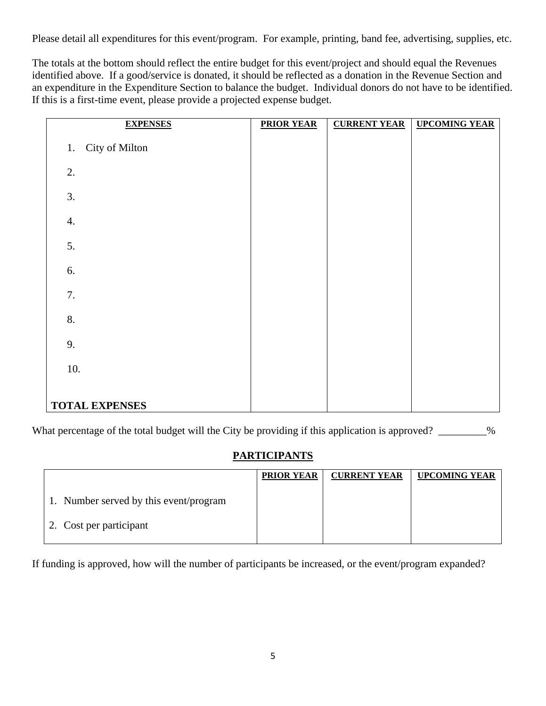Please detail all expenditures for this event/program. For example, printing, band fee, advertising, supplies, etc.

The totals at the bottom should reflect the entire budget for this event/project and should equal the Revenues identified above. If a good/service is donated, it should be reflected as a donation in the Revenue Section and an expenditure in the Expenditure Section to balance the budget. Individual donors do not have to be identified. If this is a first-time event, please provide a projected expense budget.

| <b>EXPENSES</b>       | <b>PRIOR YEAR</b> | <b>CURRENT YEAR</b> | <b>UPCOMING YEAR</b> |
|-----------------------|-------------------|---------------------|----------------------|
| City of Milton<br>1.  |                   |                     |                      |
| 2.                    |                   |                     |                      |
| 3.                    |                   |                     |                      |
| 4.                    |                   |                     |                      |
| 5.                    |                   |                     |                      |
| 6.                    |                   |                     |                      |
| $7.$                  |                   |                     |                      |
| 8.                    |                   |                     |                      |
| 9.                    |                   |                     |                      |
| 10.                   |                   |                     |                      |
| <b>TOTAL EXPENSES</b> |                   |                     |                      |

What percentage of the total budget will the City be providing if this application is approved?

# **PARTICIPANTS**

|                                        | <b>PRIOR YEAR</b> | <b>CURRENT YEAR</b> | <b>UPCOMING YEAR</b> |
|----------------------------------------|-------------------|---------------------|----------------------|
| 1. Number served by this event/program |                   |                     |                      |
| 2. Cost per participant                |                   |                     |                      |

If funding is approved, how will the number of participants be increased, or the event/program expanded?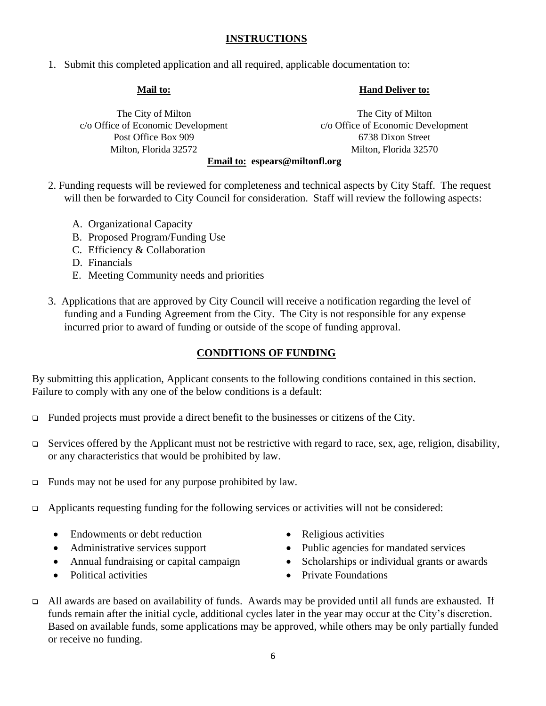## **INSTRUCTIONS**

1. Submit this completed application and all required, applicable documentation to:

#### **Mail to:**

**Hand Deliver to:**

The City of Milton c/o Office of Economic Development Post Office Box 909 Milton, Florida 32572

The City of Milton c/o Office of Economic Development 6738 Dixon Street Milton, Florida 32570

#### **Email to: espears@miltonfl.org**

- 2. Funding requests will be reviewed for completeness and technical aspects by City Staff. The request will then be forwarded to City Council for consideration. Staff will review the following aspects:
	- A. Organizational Capacity
	- B. Proposed Program/Funding Use
	- C. Efficiency & Collaboration
	- D. Financials
	- E. Meeting Community needs and priorities
- 3. Applications that are approved by City Council will receive a notification regarding the level of funding and a Funding Agreement from the City. The City is not responsible for any expense incurred prior to award of funding or outside of the scope of funding approval.

## **CONDITIONS OF FUNDING**

By submitting this application, Applicant consents to the following conditions contained in this section. Failure to comply with any one of the below conditions is a default:

- ❑ Funded projects must provide a direct benefit to the businesses or citizens of the City.
- ❑ Services offered by the Applicant must not be restrictive with regard to race, sex, age, religion, disability, or any characteristics that would be prohibited by law.
- ❑ Funds may not be used for any purpose prohibited by law.
- ❑ Applicants requesting funding for the following services or activities will not be considered:
	- Endowments or debt reduction
	- Administrative services support
	- Annual fundraising or capital campaign
	- Political activities
- Religious activities
- Public agencies for mandated services
- Scholarships or individual grants or awards
- Private Foundations
- ❑ All awards are based on availability of funds. Awards may be provided until all funds are exhausted. If funds remain after the initial cycle, additional cycles later in the year may occur at the City's discretion. Based on available funds, some applications may be approved, while others may be only partially funded or receive no funding.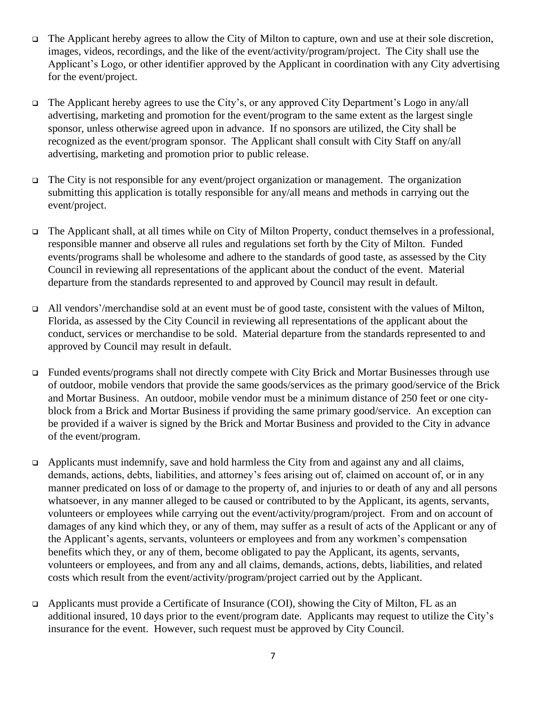- ❑ The Applicant hereby agrees to allow the City of Milton to capture, own and use at their sole discretion, images, videos, recordings, and the like of the event/activity/program/project. The City shall use the Applicant's Logo, or other identifier approved by the Applicant in coordination with any City advertising for the event/project.
- ❑ The Applicant hereby agrees to use the City's, or any approved City Department's Logo in any/all advertising, marketing and promotion for the event/program to the same extent as the largest single sponsor, unless otherwise agreed upon in advance. If no sponsors are utilized, the City shall be recognized as the event/program sponsor. The Applicant shall consult with City Staff on any/all advertising, marketing and promotion prior to public release.
- ❑ The City is not responsible for any event/project organization or management. The organization submitting this application is totally responsible for any/all means and methods in carrying out the event/project.
- ❑ The Applicant shall, at all times while on City of Milton Property, conduct themselves in a professional, responsible manner and observe all rules and regulations set forth by the City of Milton. Funded events/programs shall be wholesome and adhere to the standards of good taste, as assessed by the City Council in reviewing all representations of the applicant about the conduct of the event. Material departure from the standards represented to and approved by Council may result in default.
- ❑ All vendors'/merchandise sold at an event must be of good taste, consistent with the values of Milton, Florida, as assessed by the City Council in reviewing all representations of the applicant about the conduct, services or merchandise to be sold. Material departure from the standards represented to and approved by Council may result in default.
- ❑ Funded events/programs shall not directly compete with City Brick and Mortar Businesses through use of outdoor, mobile vendors that provide the same goods/services as the primary good/service of the Brick and Mortar Business. An outdoor, mobile vendor must be a minimum distance of 250 feet or one cityblock from a Brick and Mortar Business if providing the same primary good/service. An exception can be provided if a waiver is signed by the Brick and Mortar Business and provided to the City in advance of the event/program.
- ❑ Applicants must indemnify, save and hold harmless the City from and against any and all claims, demands, actions, debts, liabilities, and attorney's fees arising out of, claimed on account of, or in any manner predicated on loss of or damage to the property of, and injuries to or death of any and all persons whatsoever, in any manner alleged to be caused or contributed to by the Applicant, its agents, servants, volunteers or employees while carrying out the event/activity/program/project. From and on account of damages of any kind which they, or any of them, may suffer as a result of acts of the Applicant or any of the Applicant's agents, servants, volunteers or employees and from any workmen's compensation benefits which they, or any of them, become obligated to pay the Applicant, its agents, servants, volunteers or employees, and from any and all claims, demands, actions, debts, liabilities, and related costs which result from the event/activity/program/project carried out by the Applicant.
- ❑ Applicants must provide a Certificate of Insurance (COI), showing the City of Milton, FL as an additional insured, 10 days prior to the event/program date. Applicants may request to utilize the City's insurance for the event. However, such request must be approved by City Council.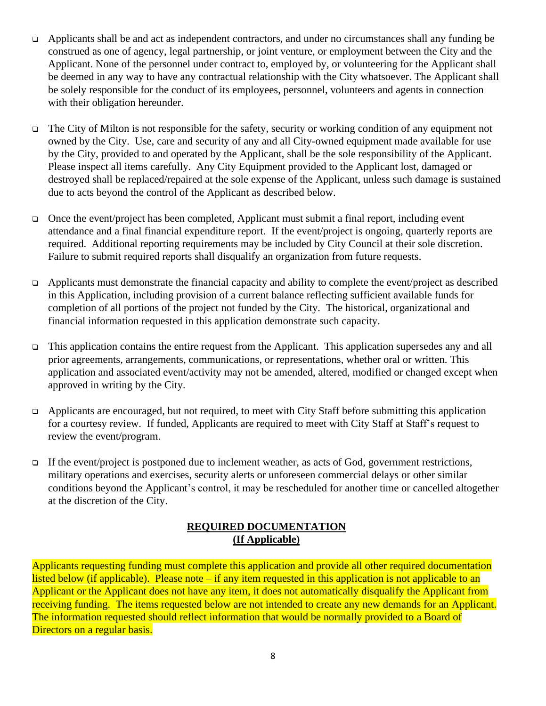- ❑ Applicants shall be and act as independent contractors, and under no circumstances shall any funding be construed as one of agency, legal partnership, or joint venture, or employment between the City and the Applicant. None of the personnel under contract to, employed by, or volunteering for the Applicant shall be deemed in any way to have any contractual relationship with the City whatsoever. The Applicant shall be solely responsible for the conduct of its employees, personnel, volunteers and agents in connection with their obligation hereunder.
- ❑ The City of Milton is not responsible for the safety, security or working condition of any equipment not owned by the City. Use, care and security of any and all City-owned equipment made available for use by the City, provided to and operated by the Applicant, shall be the sole responsibility of the Applicant. Please inspect all items carefully. Any City Equipment provided to the Applicant lost, damaged or destroyed shall be replaced/repaired at the sole expense of the Applicant, unless such damage is sustained due to acts beyond the control of the Applicant as described below.
- ❑ Once the event/project has been completed, Applicant must submit a final report, including event attendance and a final financial expenditure report. If the event/project is ongoing, quarterly reports are required. Additional reporting requirements may be included by City Council at their sole discretion. Failure to submit required reports shall disqualify an organization from future requests.
- ❑ Applicants must demonstrate the financial capacity and ability to complete the event/project as described in this Application, including provision of a current balance reflecting sufficient available funds for completion of all portions of the project not funded by the City. The historical, organizational and financial information requested in this application demonstrate such capacity.
- ❑ This application contains the entire request from the Applicant. This application supersedes any and all prior agreements, arrangements, communications, or representations, whether oral or written. This application and associated event/activity may not be amended, altered, modified or changed except when approved in writing by the City.
- ❑ Applicants are encouraged, but not required, to meet with City Staff before submitting this application for a courtesy review. If funded, Applicants are required to meet with City Staff at Staff's request to review the event/program.
- ❑ If the event/project is postponed due to inclement weather, as acts of God, government restrictions, military operations and exercises, security alerts or unforeseen commercial delays or other similar conditions beyond the Applicant's control, it may be rescheduled for another time or cancelled altogether at the discretion of the City.

## **REQUIRED DOCUMENTATION (If Applicable)**

Applicants requesting funding must complete this application and provide all other required documentation listed below (if applicable). Please note – if any item requested in this application is not applicable to an Applicant or the Applicant does not have any item, it does not automatically disqualify the Applicant from receiving funding. The items requested below are not intended to create any new demands for an Applicant. The information requested should reflect information that would be normally provided to a Board of Directors on a regular basis.